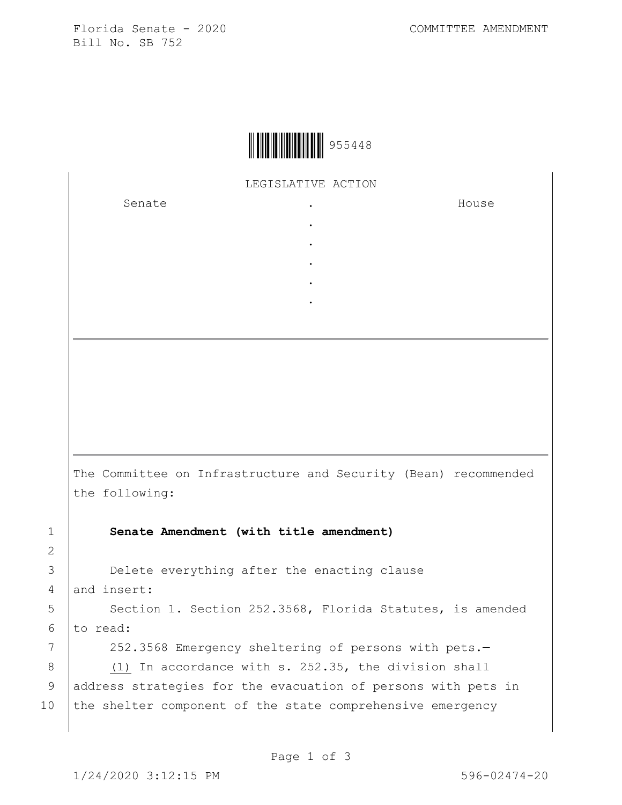Florida Senate - 2020 COMMITTEE AMENDMENT Bill No. SB 752



LEGISLATIVE ACTION

. . . . .

Senate the senate of the senate of the senate of  $\cdot$ 

House

The Committee on Infrastructure and Security (Bean) recommended the following:

1 **Senate Amendment (with title amendment)**

3 **Delete everything after the enacting clause** 4 and insert:

5 | Section 1. Section 252.3568, Florida Statutes, is amended  $6$  to read:

7 | 252.3568 Emergency sheltering of persons with pets.-

8 (1) In accordance with s. 252.35, the division shall 9 | address strategies for the evacuation of persons with pets in 10 the shelter component of the state comprehensive emergency

2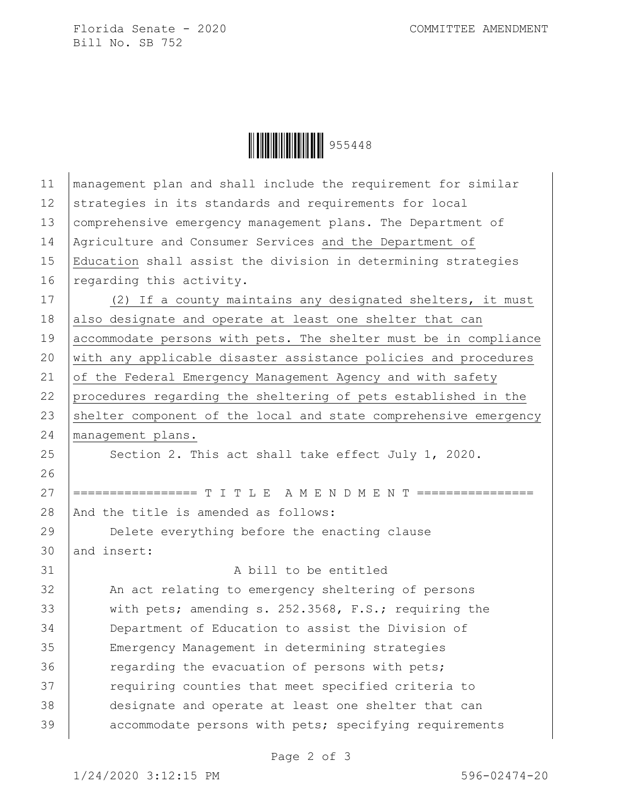Florida Senate - 2020 COMMITTEE AMENDMENT Bill No. SB 752

| $\left\  \left\  \left\  \left\  \left\  \left\  \left\  \left\  \right\  \right\  \right\  \right\  \right\  \right\  \right\ $ 955448 |  |
|-----------------------------------------------------------------------------------------------------------------------------------------|--|
|-----------------------------------------------------------------------------------------------------------------------------------------|--|

| 11 | management plan and shall include the requirement for similar    |
|----|------------------------------------------------------------------|
| 12 | strategies in its standards and requirements for local           |
| 13 | comprehensive emergency management plans. The Department of      |
| 14 | Agriculture and Consumer Services and the Department of          |
| 15 | Education shall assist the division in determining strategies    |
| 16 | regarding this activity.                                         |
| 17 | (2) If a county maintains any designated shelters, it must       |
| 18 | also designate and operate at least one shelter that can         |
| 19 | accommodate persons with pets. The shelter must be in compliance |
| 20 | with any applicable disaster assistance policies and procedures  |
| 21 | of the Federal Emergency Management Agency and with safety       |
| 22 | procedures regarding the sheltering of pets established in the   |
| 23 | shelter component of the local and state comprehensive emergency |
| 24 | management plans.                                                |
| 25 | Section 2. This act shall take effect July 1, 2020.              |
| 26 |                                                                  |
| 27 | ================= T I T L E A M E N D M E N T ================   |
| 28 | And the title is amended as follows:                             |
| 29 | Delete everything before the enacting clause                     |
| 30 | and insert:                                                      |
| 31 | A bill to be entitled                                            |
| 32 | An act relating to emergency sheltering of persons               |
| 33 | with pets; amending s. 252.3568, F.S.; requiring the             |
| 34 | Department of Education to assist the Division of                |
| 35 | Emergency Management in determining strategies                   |
| 36 | regarding the evacuation of persons with pets;                   |
| 37 | requiring counties that meet specified criteria to               |
| 38 | designate and operate at least one shelter that can              |
| 39 | accommodate persons with pets; specifying requirements           |
|    |                                                                  |